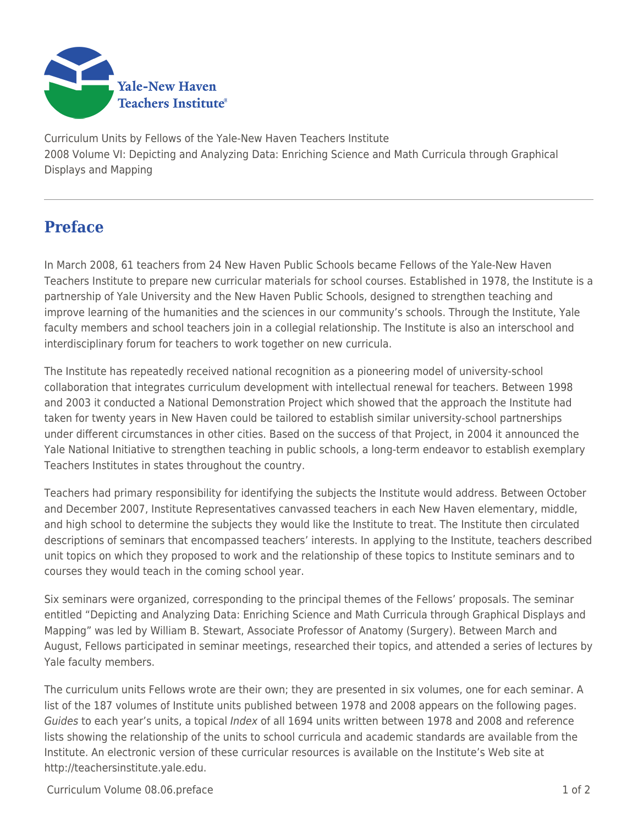

Curriculum Units by Fellows of the Yale-New Haven Teachers Institute 2008 Volume VI: Depicting and Analyzing Data: Enriching Science and Math Curricula through Graphical Displays and Mapping

## **Preface**

In March 2008, 61 teachers from 24 New Haven Public Schools became Fellows of the Yale-New Haven Teachers Institute to prepare new curricular materials for school courses. Established in 1978, the Institute is a partnership of Yale University and the New Haven Public Schools, designed to strengthen teaching and improve learning of the humanities and the sciences in our community's schools. Through the Institute, Yale faculty members and school teachers join in a collegial relationship. The Institute is also an interschool and interdisciplinary forum for teachers to work together on new curricula.

The Institute has repeatedly received national recognition as a pioneering model of university-school collaboration that integrates curriculum development with intellectual renewal for teachers. Between 1998 and 2003 it conducted a National Demonstration Project which showed that the approach the Institute had taken for twenty years in New Haven could be tailored to establish similar university-school partnerships under different circumstances in other cities. Based on the success of that Project, in 2004 it announced the Yale National Initiative to strengthen teaching in public schools, a long-term endeavor to establish exemplary Teachers Institutes in states throughout the country.

Teachers had primary responsibility for identifying the subjects the Institute would address. Between October and December 2007, Institute Representatives canvassed teachers in each New Haven elementary, middle, and high school to determine the subjects they would like the Institute to treat. The Institute then circulated descriptions of seminars that encompassed teachers' interests. In applying to the Institute, teachers described unit topics on which they proposed to work and the relationship of these topics to Institute seminars and to courses they would teach in the coming school year.

Six seminars were organized, corresponding to the principal themes of the Fellows' proposals. The seminar entitled "Depicting and Analyzing Data: Enriching Science and Math Curricula through Graphical Displays and Mapping" was led by William B. Stewart, Associate Professor of Anatomy (Surgery). Between March and August, Fellows participated in seminar meetings, researched their topics, and attended a series of lectures by Yale faculty members.

The curriculum units Fellows wrote are their own; they are presented in six volumes, one for each seminar. A list of the 187 volumes of Institute units published between 1978 and 2008 appears on the following pages. Guides to each year's units, a topical Index of all 1694 units written between 1978 and 2008 and reference lists showing the relationship of the units to school curricula and academic standards are available from the Institute. An electronic version of these curricular resources is available on the Institute's Web site at http://teachersinstitute.yale.edu.

Curriculum Volume 08.06.preface 1 of 2